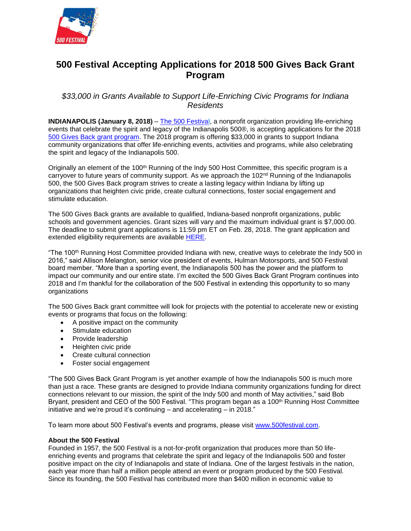

## **500 Festival Accepting Applications for 2018 500 Gives Back Grant Program**

## *\$33,000 in Grants Available to Support Life-Enriching Civic Programs for Indiana Residents*

**INDIANAPOLIS (January 8, 2018)** – [The 500 Festival,](http://www.500festival.com/) a nonprofit organization providing life-enriching events that celebrate the spirit and legacy of the Indianapolis 500®, is accepting applications for the 2018 [500 Gives Back grant program.](https://www.500festival.com/500-festival-foundation/500-gives-back/) The 2018 program is offering \$33,000 in grants to support Indiana community organizations that offer life-enriching events, activities and programs, while also celebrating the spirit and legacy of the Indianapolis 500.

Originally an element of the 100<sup>th</sup> Running of the Indy 500 Host Committee, this specific program is a carryover to future years of community support. As we approach the 102<sup>nd</sup> Running of the Indianapolis 500, the 500 Gives Back program strives to create a lasting legacy within Indiana by lifting up organizations that heighten civic pride, create cultural connections, foster social engagement and stimulate education.

The 500 Gives Back grants are available to qualified, Indiana-based nonprofit organizations, public schools and government agencies. Grant sizes will vary and the maximum individual grant is \$7,000.00. The deadline to submit grant applications is 11:59 pm ET on Feb. 28, 2018. The grant application and extended eligibility requirements are available [HERE.](https://www.500festival.com/500-festival-foundation/500-gives-back/)

"The 100th Running Host Committee provided Indiana with new, creative ways to celebrate the Indy 500 in 2016," said Allison Melangton, senior vice president of events, Hulman Motorsports, and 500 Festival board member. "More than a sporting event, the Indianapolis 500 has the power and the platform to impact our community and our entire state. I'm excited the 500 Gives Back Grant Program continues into 2018 and I'm thankful for the collaboration of the 500 Festival in extending this opportunity to so many organizations

The 500 Gives Back grant committee will look for projects with the potential to accelerate new or existing events or programs that focus on the following:

- A positive impact on the community
- Stimulate education
- Provide leadership
- Heighten civic pride
- Create cultural connection
- Foster social engagement

"The 500 Gives Back Grant Program is yet another example of how the Indianapolis 500 is much more than just a race. These grants are designed to provide Indiana community organizations funding for direct connections relevant to our mission, the spirit of the Indy 500 and month of May activities," said Bob Bryant, president and CEO of the 500 Festival. "This program began as a 100<sup>th</sup> Running Host Committee initiative and we're proud it's continuing – and accelerating – in 2018."

To learn more about 500 Festival's events and programs, please visit [www.500festival.com.](http://www.500festival.com/)

## **About the 500 Festival**

Founded in 1957, the 500 Festival is a not-for-profit organization that produces more than 50 lifeenriching events and programs that celebrate the spirit and legacy of the Indianapolis 500 and foster positive impact on the city of Indianapolis and state of Indiana. One of the largest festivals in the nation, each year more than half a million people attend an event or program produced by the 500 Festival. Since its founding, the 500 Festival has contributed more than \$400 million in economic value to